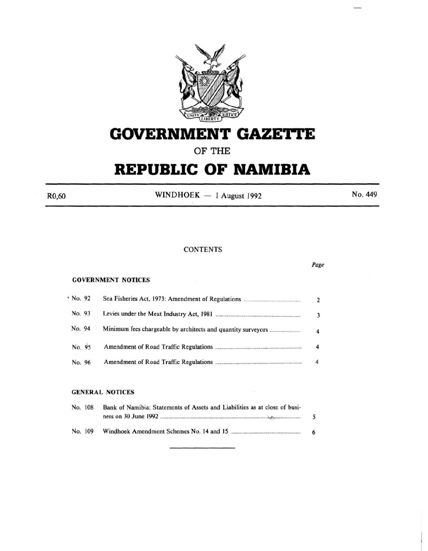

# **GOVERNMENT GAZETTE**

# OF THE

# **REPUBLIC OF NAMIBIA**

R<sub>0</sub>,60

WINDHOEK - 1 August 1992

No. 449

# **CONTENTS**

|          |                           | Page           |
|----------|---------------------------|----------------|
|          | <b>GOVERNMENT NOTICES</b> |                |
| ' No. 92 |                           | $\overline{2}$ |
| No. 93   |                           | 3              |
| No. 94   |                           | 4              |
| No. 95   |                           | 4              |
| No. 96   |                           | 4              |
|          |                           |                |
|          | <b>GENERAL NOTICES</b>    |                |

| No. 108 |         | Bank of Namibia: Statements of Assets and Liabilities as at close of busi- |   |
|---------|---------|----------------------------------------------------------------------------|---|
|         |         |                                                                            |   |
|         | No. 109 |                                                                            | 6 |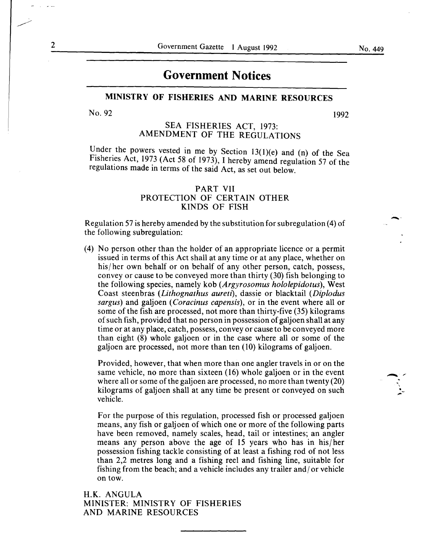# **Government Notices**

# MINISTRY OF FISHERIES AND MARINE RESOURCES

 $N_0$ . 92 1992

#### SEA FISHERIES ACT, 1973: AMENDMENT OF THE REGULATIONS

Under the powers vested in me by Section  $13(1)(e)$  and (n) of the Sea Fisheries Act, 1973 (Act 58 of 1973), I hereby amend regulation 57 of the regulations made in terms of the said Act, as set out below.

## PART VII PROTECTION OF CERTAIN OTHER KINDS OF FISH

Regulation 57 is hereby amended by the substitution for subregulation (4) of the following subregulation:

(4) No person other than the holder of an appropriate licence or a permit issued in terms of this Act shall at any time or at any place, whether on his/her own behalf or on behalf of any other person, catch, possess, convey or cause to be conveyed more than thirty (30) fish belonging to the following species, namely kob *(Argyrosomus hololepidotus),* West Coast steenbras *(Lithognathus aureti),* dassie or blacktail *(Diplodus sargus)* and galjoen ( *Coracinus capensis),* or in the event where all or some of the fish are processed, not more than thirty-five (35) kilograms of such fish, provided that no person in possession of galjoen shall at any time or at any place, catch, possess, convey or cause to be conveyed more than eight (8) whole galjoen or in the case where all or some of the galjoen are processed, not more than ten (10) kilograms of galjoen.

Provided, however, that when more than one angler travels in or on the same vehicle, no more than sixteen (16) whole galjoen or in the event where all or some of the galjoen are processed, no more than twenty (20) kilograms of galjoen shall at any time be present or conveyed on such vehicle.

For the purpose of this regulation, processed fish or processed galjoen means, any fish or galjoen of which one or more of the following parts have been removed, namely scales, head, tail or intestines; an angler means any person above the age of 15 years who has in his/her possession fishing tackle consisting of at least a fishing rod of not less than 2,2 metres long and a fishing reel and fishing line, suitable for fishing from the beach; and a vehicle includes any trailer and/ or vehicle on tow.

H.K. ANGULA MINISTER: MINISTRY OF FISHERIES AND MARINE RESOURCES

-·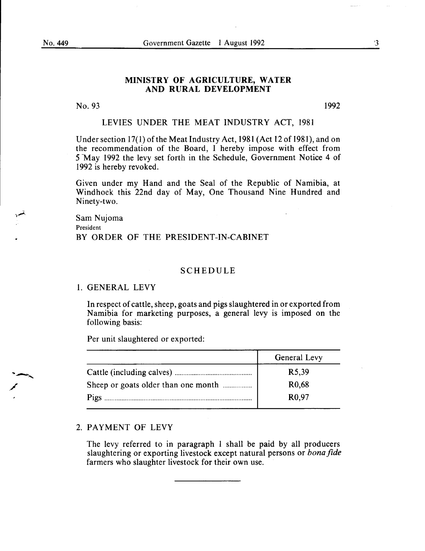,./

#### **MINISTRY OF AGRICULTURE, WATER AND RURAL DEVELOPMENT**

No. 93

1992

#### LEVIES UNDER THE MEAT INDUSTRY ACT, 1981

Under section 17(1) of the Meat Industry Act, 1981 (Act 12 of 1981), and on the recommendation of the Board, I hereby impose with effect from 5 May 1992 the levy set forth in the Schedule, Government Notice 4 of 1992 is hereby revoked.

Given under my Hand and the Seal of the Republic of Namibia, at Windhoek this 22nd day of May, One Thousand Nine Hundred and Ninety-two.

Sam Nujoma President BY ORDER OF THE PRESIDENT-IN-CABINET

#### SCHEDULE

#### 1. GENERAL LEVY

In respect of cattle, sheep, goats and pigs slaughtered in or exported from Namibia for marketing purposes, a general levy is imposed on the following basis:

Per unit slaughtered or exported:

| General Levy        |
|---------------------|
| R <sub>5</sub> , 39 |
| R <sub>0</sub> ,68  |
| R <sub>0</sub> ,97  |
|                     |

## 2. PAYMENT OF LEVY

The levy referred to in paragraph 1 shall be paid by all producers slaughtering or exporting livestock except natural persons or *bona fide*  farmers who slaughter livestock for their own use.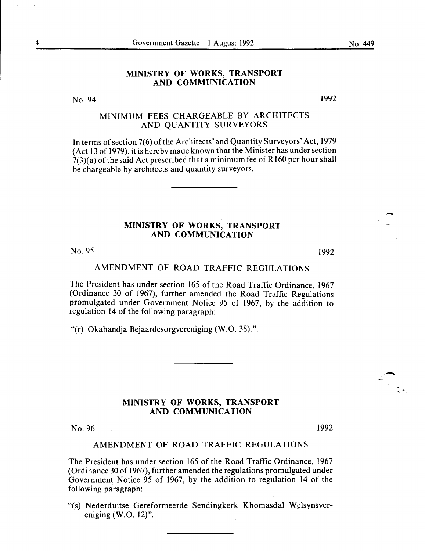#### **MINISTRY OF WORKS, TRANSPORT AND COMMUNICATION**

#### No. 94

1992

# MINIMUM FEES CHARGEABLE BY ARCHITECTS AND QUANTITY SURVEYORS

In terms of section 7(6) of the Architects' and Quantity Surveyors' Act, 1979 (Act 13 of 1979), it is hereby made known that the Minister has under section  $7(3)(a)$  of the said Act prescribed that a minimum fee of R160 per hour shall be chargeable by architects and quantity surveyors.

## **MINISTRY OF WORKS, TRANSPORT AND COMMUNICATION**

No. 95

1992

1992

## AMENDMENT OF ROAD TRAFFIC REGULATIONS

The President has under section 165 of the Road Traffic Ordinance, 1967 (Ordinance 30 of 1967), further amended the Road Traffic Regulations promulgated under Government Notice 95 of 1967, by the addition to regulation 14 of the following paragraph:

"(r) Okahandja Bejaardesorgvereniging (W.O. 38).".

# **MINISTRY OF WORKS, TRANSPORT AND COMMUNICATION**

No. 96

#### AMENDMENT OF ROAD TRAFFIC REGULATIONS

The President has under section 165 of the Road Traffic Ordinance, 1967 (Ordinance 30 of 1967), further amended the regulations promulgated under Government Notice 95 of 1967, by the addition to regulation **14** of the following paragraph:

"(s) Nederduitse Gereformeerde Sendingkerk Khomasdal Welsynsvereniging (W.O. 12)".

-·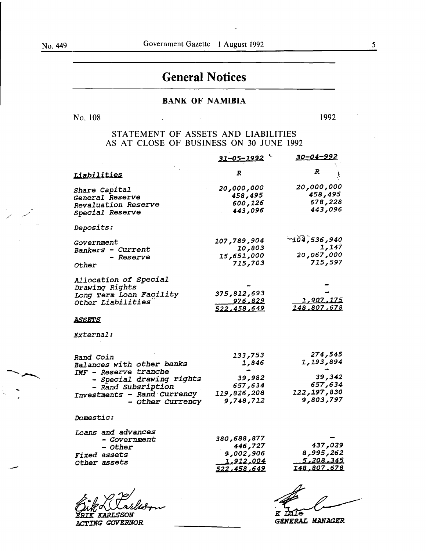/

# **General Notices**

# BANK OF NAMIBIA

 $No. 108$  1992

# STATEMENT OF ASSETS AND LIABILITIES AS AT CLOSE OF BUSINESS ON 30 JUNE 1992

|                                                                                                                                                                             | <u>31-05-1992</u>                                                        | 30-04-992                                                             |
|-----------------------------------------------------------------------------------------------------------------------------------------------------------------------------|--------------------------------------------------------------------------|-----------------------------------------------------------------------|
| <u>Liabilities</u>                                                                                                                                                          | R                                                                        | R                                                                     |
| Share Capital<br>General Reserve                                                                                                                                            | 20,000,000<br>458,495                                                    | 000,000,00<br>458,495                                                 |
| <b>Revaluation Reserve</b><br>Special Reserve                                                                                                                               | 600,126<br>443,096                                                       | 678,228<br>443,096                                                    |
| Deposits:                                                                                                                                                                   |                                                                          |                                                                       |
| Government<br>Bankers - Current<br>- Reserve<br>Other                                                                                                                       | 107,789,904<br>10,803<br>15,651,000<br>715,703                           | $-104, 536, 940$<br>1,147<br>20,067,000<br>715,597                    |
| Allocation of Special<br>Drawing Rights<br>Long Term Loan Facility<br>Other Liabilities                                                                                     | 375,812,693<br><u>976,829</u><br>522,458,649                             | <u>1,907,175</u><br>148,807,678                                       |
| <i><b>ASSETS</b></i>                                                                                                                                                        |                                                                          |                                                                       |
| External:                                                                                                                                                                   |                                                                          |                                                                       |
| <i>Rand Coin</i><br>Balances with other banks<br>IMF - Reserve tranche<br>- Special drawing rights<br>- Rand Subsription<br>Investments - Rand Currency<br>- Other Currency | 133,753<br>1,846<br>39,982<br>657,634<br>119,826,208<br>9,748,712        | 274,545<br>1,193,894<br>39,342<br>657,634<br>122,197,830<br>9,803,797 |
| Domestic:                                                                                                                                                                   |                                                                          |                                                                       |
| Loans and advances<br>- Government<br>- Other<br><b>Fixed assets</b><br>Other assets                                                                                        | 380,688,877<br>446,727<br>906, 002, و<br><u>1,912,004</u><br>522,458,649 | 437,029<br>8,995,262<br><u>5,208,345</u><br>148.807.678               |
|                                                                                                                                                                             |                                                                          |                                                                       |

ERIK KARLSSON<br>ERIK KARLSSON<br>ACTING GOVERNOR <u>\_</u>\_\_\_\_\_

e dí ē

GENERAL MANAGER